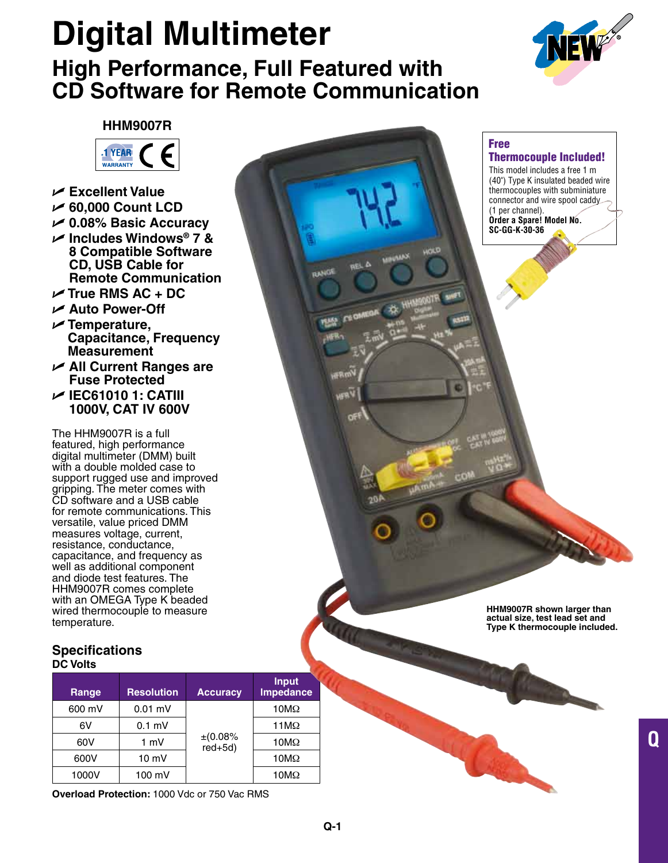# **Digital Multimeter High Performance, Full Featured with CD Software for Remote Communication**



# **HHM9007R**



- U **Excellent Value**
- U **60,000 Count LCD**
- U **0.08% Basic Accuracy**
- U **Includes Windows® 7 & 8 Compatible Software CD, USB Cable for Remote Communication**
- U **True RMS AC + DC**
- U **Auto Power-Off**
- U **Temperature, Capacitance, Frequency Measurement**
- U **All Current Ranges are Fuse Protected**
- U **IEC61010 1: CATIII 1000V, CAT IV 600V**

The HHM9007R is a full featured, high performance digital multimeter (DMM) built with a double molded case to support rugged use and improved gripping. The meter comes with CD software and a USB cable for remote communications. This versatile, value priced DMM measures voltage, current, resistance, conductance, capacitance, and frequency as well as additional component and diode test features. The HHM9007R comes complete with an OMEGA Type K beaded wired thermocouple to measure temperature.

## **Specifications DC Volts**

| Range  | <b>Resolution</b> | <b>Accuracy</b>       | <b>Input</b><br>Impedance |
|--------|-------------------|-----------------------|---------------------------|
| 600 mV | $0.01$ mV         |                       | $10M\Omega$               |
| 6V     | $0.1$ mV          |                       | $11M\Omega$               |
| 60V    | 1 mV              | $\pm (0.08\%$ red+5d) | $10M\Omega$               |
| 600V   | $10 \text{ mV}$   |                       | $10M\Omega$               |
| 1000V  | 100 mV            |                       | $10M\Omega$               |

**Overload Protection:** 1000 Vdc or 750 Vac RMS



Free

Thermocouple Included! This model includes a free 1 m

**HHM9007R shown larger than actual size, test lead set and Type K thermocouple included.**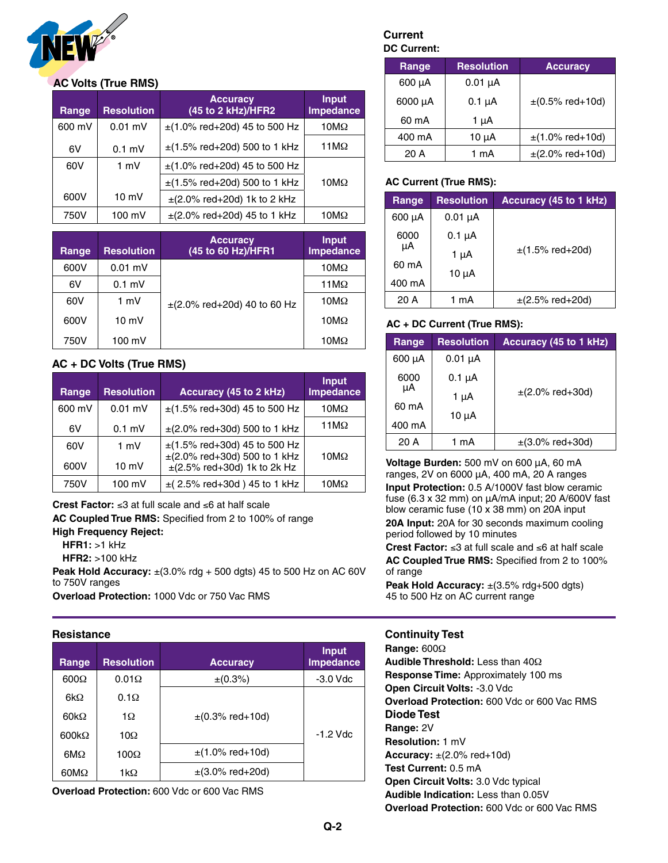

## **AC Volts (True RMS)**

| Range  | <b>Resolution</b> | <b>Accuracy</b><br>(45 to 2 kHz)/HFR2 | <b>Input</b><br><b>Impedance</b> |
|--------|-------------------|---------------------------------------|----------------------------------|
| 600 mV | $0.01$ mV         | $\pm$ (1.0% red+20d) 45 to 500 Hz     | $10M\Omega$                      |
| 6V     | $0.1$ mV          | $\pm$ (1.5% red+20d) 500 to 1 kHz     | $11M\Omega$                      |
| 60V    | $1 \text{ mV}$    | $\pm$ (1.0% red+20d) 45 to 500 Hz     |                                  |
|        |                   | $\pm$ (1.5% red+20d) 500 to 1 kHz     | $10M\Omega$                      |
| 600V   | $10 \text{ mV}$   | $\pm$ (2.0% red+20d) 1k to 2 kHz      |                                  |
| 750V   | 100 mV            | $\pm$ (2.0% red+20d) 45 to 1 kHz      | 10MΩ                             |

| Range | <b>Resolution</b> | <b>Accuracy</b><br>(45 to 60 Hz)/HFR1 | <b>Input</b><br>Impedance |
|-------|-------------------|---------------------------------------|---------------------------|
| 600V  | $0.01$ mV         |                                       | $10M\Omega$               |
| 6V    | $0.1$ mV          | $\pm$ (2.0% red+20d) 40 to 60 Hz      | 11 $M\Omega$              |
| 60V   | 1 mV              |                                       | $10M\Omega$               |
| 600V  | $10 \text{ mV}$   |                                       | 10M $\Omega$              |
| 750V  | 100 mV            |                                       | 10 $M\Omega$              |

## **AC + DC Volts (True RMS)**

| Range       | <b>Resolution</b>       | Accuracy (45 to 2 kHz)                                                                                     | Input,<br>Impedance |
|-------------|-------------------------|------------------------------------------------------------------------------------------------------------|---------------------|
| 600 mV      | $0.01$ mV               | $\pm$ (1.5% red+30d) 45 to 500 Hz                                                                          | $10M\Omega$         |
| 6V          | $0.1$ mV                | $\pm$ (2.0% red+30d) 500 to 1 kHz                                                                          | 11 $M\Omega$        |
| 60V<br>600V | 1 mV<br>$10 \text{ mV}$ | $\pm$ (1.5% red+30d) 45 to 500 Hz<br>$\pm$ (2.0% red+30d) 500 to 1 kHz<br>$\pm$ (2.5% red+30d) 1k to 2k Hz | 10 $M\Omega$        |
| 750V        | 100 mV                  | $\pm$ (2.5% red+30d) 45 to 1 kHz                                                                           | 10 $M\Omega$        |

**Crest Factor:** ≤3 at full scale and ≤6 at half scale **AC Coupled True RMS:** Specified from 2 to 100% of range **High Frequency Reject:**

**HFR1:** >1 kHz

**HFR2:** >100 kHz

**Peak Hold Accuracy:**  $\pm$ (3.0% rdg + 500 dgts) 45 to 500 Hz on AC 60V to 750V ranges

**Overload Protection:** 1000 Vdc or 750 Vac RMS

#### **Resistance**

| Range        | <b>Resolution</b> | <b>Accuracy</b>      | <b>Input</b><br><b>Impedance</b> |
|--------------|-------------------|----------------------|----------------------------------|
| $600\Omega$  | $0.01\Omega$      | $\pm (0.3\%)$        | $-3.0$ Vdc                       |
| 6k $\Omega$  | $0.1\Omega$       |                      |                                  |
| 60k $\Omega$ | 1Ω                | $\pm$ (0.3% red+10d) |                                  |
| $600k\Omega$ | $10\Omega$        |                      | $-1.2$ Vdc                       |
| $6M\Omega$   | $100\Omega$       | $\pm$ (1.0% red+10d) |                                  |
| $60M\Omega$  | 1 $k\Omega$       | $\pm$ (3.0% red+20d) |                                  |

**Overload Protection:** 600 Vdc or 600 Vac RMS

## **Current DC Current:**

| Range        | <b>Resolution</b> | <b>Accuracy</b>                 |
|--------------|-------------------|---------------------------------|
| 600 µA       | $0.01 \mu A$      |                                 |
| $6000 \mu A$ | $0.1 \mu A$       | $\pm (0.5\% \text{ red} + 10d)$ |
| 60 mA        | 1 μΑ              |                                 |
| 400 mA       | $10 \mu A$        | $\pm$ (1.0% red+10d)            |
| 20 A         | 1 mA              | $\pm$ (2.0% red+10d)            |

### **AC Current (True RMS):**

| Range       | <b>Resolution</b> | <b>Accuracy (45 to 1 kHz)</b> |
|-------------|-------------------|-------------------------------|
| $600 \mu A$ | $0.01 \mu A$      |                               |
| 6000<br>μA  | $0.1 \mu A$       |                               |
|             | $1 \mu A$         | $\pm$ (1.5% red+20d)          |
| 60 mA       | 10 $\mu$ A        |                               |
| 400 mA      |                   |                               |
| 20 A        | 1 mA              | $\pm$ (2.5% red+20d)          |

## **AC + DC Current (True RMS):**

| Range  | <b>Resolution</b> | Accuracy (45 to 1 kHz) |  |
|--------|-------------------|------------------------|--|
| 600 µA | $0.01 \mu A$      |                        |  |
| 6000   | $0.1 \mu A$       |                        |  |
| μA     | 1 μΑ              | $\pm$ (2.0% red+30d)   |  |
| 60 mA  | $10 \mu A$        |                        |  |
| 400 mA |                   |                        |  |
| 20 A   | 1 mA              | $\pm$ (3.0% red+30d)   |  |

**Voltage Burden:** 500 mV on 600 μA, 60 mA ranges, 2V on 6000 μA, 400 mA, 20 A ranges

**Input Protection:** 0.5 A/1000V fast blow ceramic fuse (6.3 x 32 mm) on μA/mA input; 20 A/600V fast blow ceramic fuse (10 x 38 mm) on 20A input **20A Input:** 20A for 30 seconds maximum cooling period followed by 10 minutes

**Crest Factor:** ≤3 at full scale and ≤6 at half scale **AC Coupled True RMS:** Specified from 2 to 100% of range

Peak Hold Accuracy:  $\pm$ (3.5% rdg+500 dgts) 45 to 500 Hz on AC current range

#### **Continuity Test**

**Range:** 600Ω **Audible Threshold:** Less than 40Ω **Response Time:** Approximately 100 ms **Open Circuit Volts:** -3.0 Vdc **Overload Protection:** 600 Vdc or 600 Vac RMS **Diode Test Range:** 2V **Resolution:** 1 mV **Accuracy:** ±(2.0% red+10d) **Test Current:** 0.5 mA **Open Circuit Volts:** 3.0 Vdc typical **Audible Indication:** Less than 0.05V **Overload Protection:** 600 Vdc or 600 Vac RMS